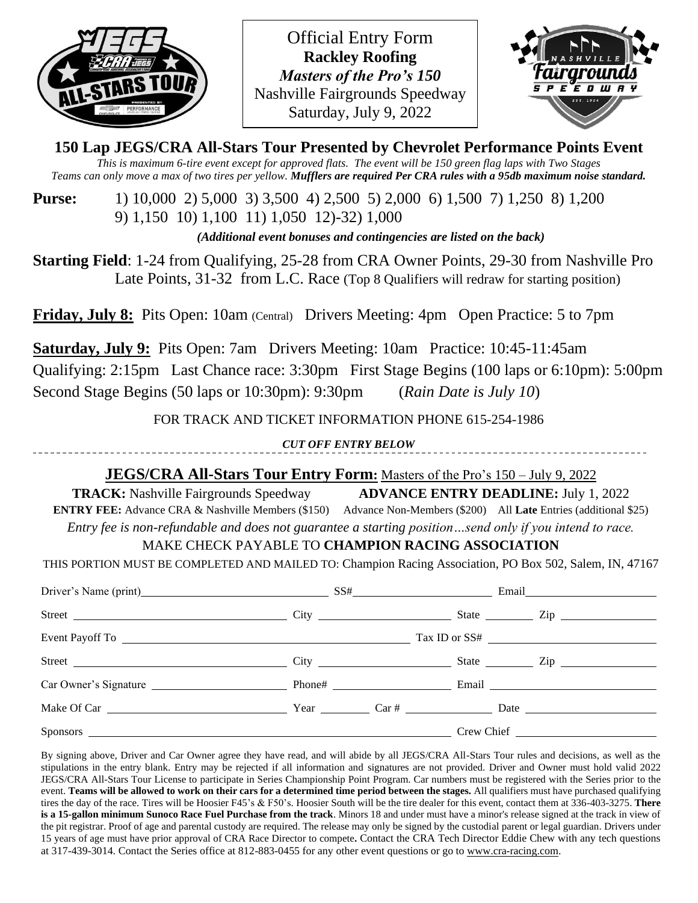

Official Entry Form **Rackley Roofing** *Masters of the Pro's 150* Nashville Fairgrounds Speedway Saturday, July 9, 2022



**150 Lap JEGS/CRA All-Stars Tour Presented by Chevrolet Performance Points Event** *This is maximum 6-tire event except for approved flats. The event will be 150 green flag laps with Two Stages Teams can only move a max of two tires per yellow. Mufflers are required Per CRA rules with a 95db maximum noise standard.*

**Purse:** 1) 10,000 2) 5,000 3) 3,500 4) 2,500 5) 2,000 6) 1,500 7) 1,250 8) 1,200 9) 1,150 10) 1,100 11) 1,050 12)-32) 1,000

*(Additional event bonuses and contingencies are listed on the back)*

**Starting Field**: 1-24 from Qualifying, 25-28 from CRA Owner Points, 29-30 from Nashville Pro Late Points, 31-32 from L.C. Race (Top 8 Qualifiers will redraw for starting position)

**Friday, July 8:** Pits Open: 10am (Central) Drivers Meeting: 4pm Open Practice: 5 to 7pm

**Saturday, July 9:** Pits Open: 7am Drivers Meeting: 10am Practice: 10:45-11:45am Qualifying: 2:15pm Last Chance race: 3:30pm First Stage Begins (100 laps or 6:10pm): 5:00pm Second Stage Begins (50 laps or 10:30pm): 9:30pm (*Rain Date is July 10*)

FOR TRACK AND TICKET INFORMATION PHONE 615-254-1986

*CUT OFF ENTRY BELOW*

# **JEGS/CRA All-Stars Tour Entry Form:** Masters of the Pro's 150 – July 9, 2022

**TRACK:** Nashville Fairgrounds Speedway **ADVANCE ENTRY DEADLINE:** July 1, 2022 **ENTRY FEE:** Advance CRA & Nashville Members (\$150) Advance Non-Members (\$200) All **Late** Entries (additional \$25)

*Entry fee is non-refundable and does not guarantee a starting position…send only if you intend to race.*

# MAKE CHECK PAYABLE TO **CHAMPION RACING ASSOCIATION**

THIS PORTION MUST BE COMPLETED AND MAILED TO: Champion Racing Association, PO Box 502, Salem, IN, 47167

| Driver's Name (print) SS# Email Email                                                              |  |  |
|----------------------------------------------------------------------------------------------------|--|--|
| Street City City State City State City State City State City State City State City State City City |  |  |
|                                                                                                    |  |  |
| Street City City City State City State City State City                                             |  |  |
|                                                                                                    |  |  |
|                                                                                                    |  |  |
|                                                                                                    |  |  |

By signing above, Driver and Car Owner agree they have read, and will abide by all JEGS/CRA All-Stars Tour rules and decisions, as well as the stipulations in the entry blank. Entry may be rejected if all information and signatures are not provided. Driver and Owner must hold valid 2022 JEGS/CRA All-Stars Tour License to participate in Series Championship Point Program. Car numbers must be registered with the Series prior to the event. **Teams will be allowed to work on their cars for a determined time period between the stages.** All qualifiers must have purchased qualifying tires the day of the race. Tires will be Hoosier F45's & F50's. Hoosier South will be the tire dealer for this event, contact them at 336-403-3275. **There is a 15-gallon minimum Sunoco Race Fuel Purchase from the track**. Minors 18 and under must have a minor's release signed at the track in view of the pit registrar. Proof of age and parental custody are required. The release may only be signed by the custodial parent or legal guardian. Drivers under 15 years of age must have prior approval of CRA Race Director to compete**.** Contact the CRA Tech Director Eddie Chew with any tech questions at 317-439-3014. Contact the Series office at 812-883-0455 for any other event questions or go to [www.cra-racing.com.](about:blank)